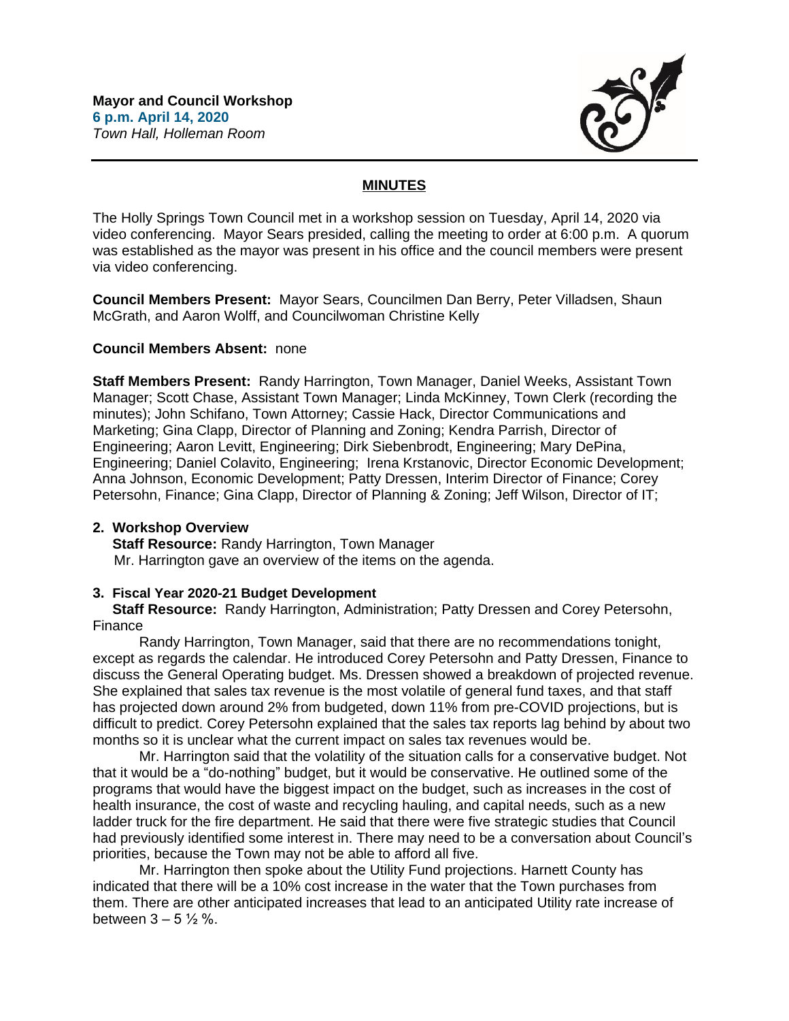

# **MINUTES**

The Holly Springs Town Council met in a workshop session on Tuesday, April 14, 2020 via video conferencing. Mayor Sears presided, calling the meeting to order at 6:00 p.m. A quorum was established as the mayor was present in his office and the council members were present via video conferencing.

**Council Members Present:** Mayor Sears, Councilmen Dan Berry, Peter Villadsen, Shaun McGrath, and Aaron Wolff, and Councilwoman Christine Kelly

## **Council Members Absent:** none

**Staff Members Present:** Randy Harrington, Town Manager, Daniel Weeks, Assistant Town Manager; Scott Chase, Assistant Town Manager; Linda McKinney, Town Clerk (recording the minutes); John Schifano, Town Attorney; Cassie Hack, Director Communications and Marketing; Gina Clapp, Director of Planning and Zoning; Kendra Parrish, Director of Engineering; Aaron Levitt, Engineering; Dirk Siebenbrodt, Engineering; Mary DePina, Engineering; Daniel Colavito, Engineering; Irena Krstanovic, Director Economic Development; Anna Johnson, Economic Development; Patty Dressen, Interim Director of Finance; Corey Petersohn, Finance; Gina Clapp, Director of Planning & Zoning; Jeff Wilson, Director of IT;

### **2. Workshop Overview**

 **Staff Resource:** Randy Harrington, Town Manager Mr. Harrington gave an overview of the items on the agenda.

# **3. Fiscal Year 2020-21 Budget Development**

 **Staff Resource:** Randy Harrington, Administration; Patty Dressen and Corey Petersohn, Finance

Randy Harrington, Town Manager, said that there are no recommendations tonight, except as regards the calendar. He introduced Corey Petersohn and Patty Dressen, Finance to discuss the General Operating budget. Ms. Dressen showed a breakdown of projected revenue. She explained that sales tax revenue is the most volatile of general fund taxes, and that staff has projected down around 2% from budgeted, down 11% from pre-COVID projections, but is difficult to predict. Corey Petersohn explained that the sales tax reports lag behind by about two months so it is unclear what the current impact on sales tax revenues would be.

Mr. Harrington said that the volatility of the situation calls for a conservative budget. Not that it would be a "do-nothing" budget, but it would be conservative. He outlined some of the programs that would have the biggest impact on the budget, such as increases in the cost of health insurance, the cost of waste and recycling hauling, and capital needs, such as a new ladder truck for the fire department. He said that there were five strategic studies that Council had previously identified some interest in. There may need to be a conversation about Council's priorities, because the Town may not be able to afford all five.

Mr. Harrington then spoke about the Utility Fund projections. Harnett County has indicated that there will be a 10% cost increase in the water that the Town purchases from them. There are other anticipated increases that lead to an anticipated Utility rate increase of between  $3 - 5\frac{1}{2}\%$ .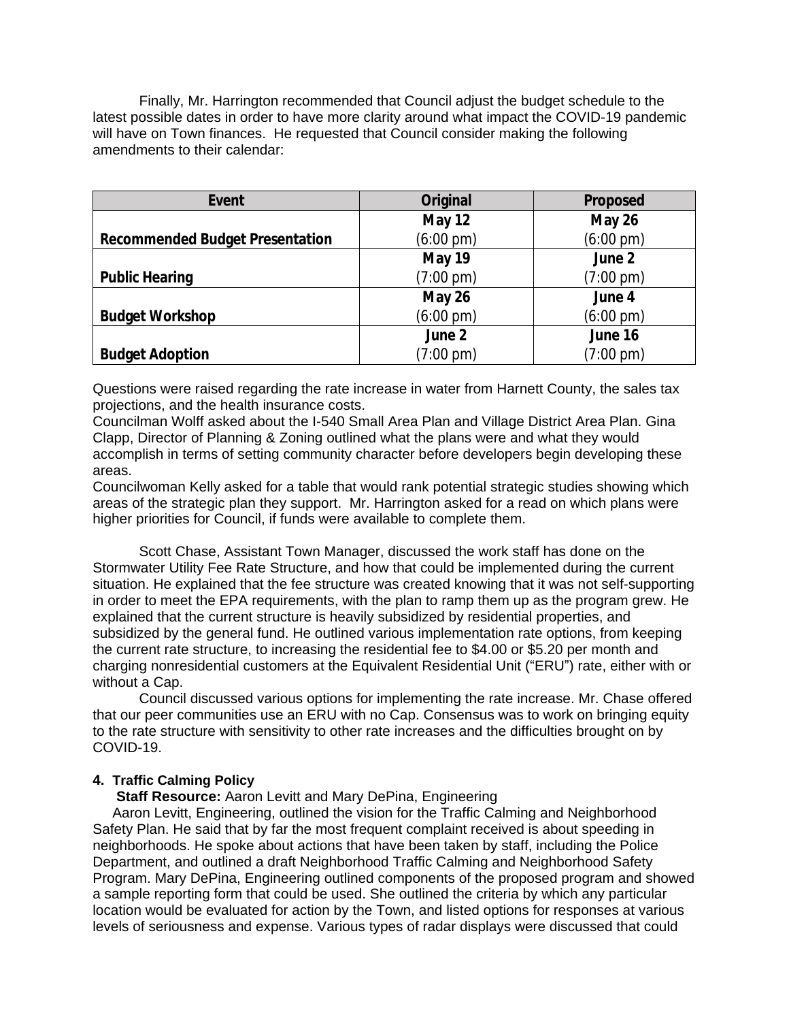Finally, Mr. Harrington recommended that Council adjust the budget schedule to the latest possible dates in order to have more clarity around what impact the COVID-19 pandemic will have on Town finances. He requested that Council consider making the following amendments to their calendar:

| Event                                  | Original            | Proposed            |
|----------------------------------------|---------------------|---------------------|
|                                        | <b>May 12</b>       | May 26              |
| <b>Recommended Budget Presentation</b> | $(6:00 \text{ pm})$ | $(6:00 \text{ pm})$ |
|                                        | <b>May 19</b>       | June 2              |
| <b>Public Hearing</b>                  | $(7:00 \text{ pm})$ | $(7:00 \text{ pm})$ |
|                                        | May 26              | June 4              |
| <b>Budget Workshop</b>                 | $(6:00 \text{ pm})$ | $(6:00 \text{ pm})$ |
|                                        | June 2              | June 16             |
| <b>Budget Adoption</b>                 | $(7:00 \text{ pm})$ | $(7:00 \text{ pm})$ |

Questions were raised regarding the rate increase in water from Harnett County, the sales tax projections, and the health insurance costs.

Councilman Wolff asked about the I-540 Small Area Plan and Village District Area Plan. Gina Clapp, Director of Planning & Zoning outlined what the plans were and what they would accomplish in terms of setting community character before developers begin developing these areas.

Councilwoman Kelly asked for a table that would rank potential strategic studies showing which areas of the strategic plan they support. Mr. Harrington asked for a read on which plans were higher priorities for Council, if funds were available to complete them.

Scott Chase, Assistant Town Manager, discussed the work staff has done on the Stormwater Utility Fee Rate Structure, and how that could be implemented during the current situation. He explained that the fee structure was created knowing that it was not self-supporting in order to meet the EPA requirements, with the plan to ramp them up as the program grew. He explained that the current structure is heavily subsidized by residential properties, and subsidized by the general fund. He outlined various implementation rate options, from keeping the current rate structure, to increasing the residential fee to \$4.00 or \$5.20 per month and charging nonresidential customers at the Equivalent Residential Unit ("ERU") rate, either with or without a Cap.

Council discussed various options for implementing the rate increase. Mr. Chase offered that our peer communities use an ERU with no Cap. Consensus was to work on bringing equity to the rate structure with sensitivity to other rate increases and the difficulties brought on by COVID-19.

### **4. Traffic Calming Policy**

 **Staff Resource:** Aaron Levitt and Mary DePina, Engineering

 Aaron Levitt, Engineering, outlined the vision for the Traffic Calming and Neighborhood Safety Plan. He said that by far the most frequent complaint received is about speeding in neighborhoods. He spoke about actions that have been taken by staff, including the Police Department, and outlined a draft Neighborhood Traffic Calming and Neighborhood Safety Program. Mary DePina, Engineering outlined components of the proposed program and showed a sample reporting form that could be used. She outlined the criteria by which any particular location would be evaluated for action by the Town, and listed options for responses at various levels of seriousness and expense. Various types of radar displays were discussed that could